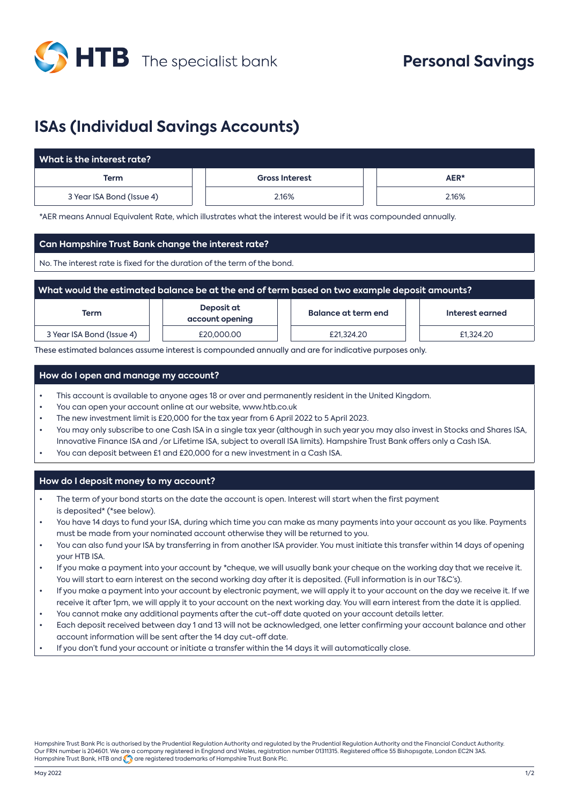

# **ISAs (Individual Savings Accounts)**

| $\,$ What is the interest rate? $\,$ |                       |       |  |  |
|--------------------------------------|-----------------------|-------|--|--|
| Term                                 | <b>Gross Interest</b> | AER*  |  |  |
| 3 Year ISA Bond (Issue 4)            | 2.16%                 | 2.16% |  |  |

\*AER means Annual Equivalent Rate, which illustrates what the interest would be if it was compounded annually.

## **Can Hampshire Trust Bank change the interest rate?**

No. The interest rate is fixed for the duration of the term of the bond.

| What would the estimated balance be at the end of term based on two example deposit amounts? |                               |                     |                 |  |
|----------------------------------------------------------------------------------------------|-------------------------------|---------------------|-----------------|--|
| Term                                                                                         | Deposit at<br>account opening | Balance at term end | Interest earned |  |
| 3 Year ISA Bond (Issue 4)                                                                    | £20,000,00                    | £21,324.20          | £1,324.20       |  |

These estimated balances assume interest is compounded annually and are for indicative purposes only.

## **How do I open and manage my account?**

- This account is available to anyone ages 18 or over and permanently resident in the United Kingdom.
- You can open your account online at our website, www.htb.co.uk
- The new investment limit is £20,000 for the tax year from 6 April 2022 to 5 April 2023.
- You may only subscribe to one Cash ISA in a single tax year (although in such year you may also invest in Stocks and Shares ISA, Innovative Finance ISA and /or Lifetime ISA, subject to overall ISA limits). Hampshire Trust Bank offers only a Cash ISA.
- You can deposit between £1 and £20,000 for a new investment in a Cash ISA.

### **How do I deposit money to my account?**

- The term of your bond starts on the date the account is open. Interest will start when the first payment is deposited\* (\*see below).
- You have 14 days to fund your ISA, during which time you can make as many payments into your account as you like. Payments must be made from your nominated account otherwise they will be returned to you.
- You can also fund your ISA by transferring in from another ISA provider. You must initiate this transfer within 14 days of opening your HTB ISA.
- If you make a payment into your account by \*cheque, we will usually bank your cheque on the working day that we receive it. You will start to earn interest on the second working day after it is deposited. (Full information is in our T&C's).
- If you make a payment into your account by electronic payment, we will apply it to your account on the day we receive it. If we receive it after 1pm, we will apply it to your account on the next working day. You will earn interest from the date it is applied.
- You cannot make any additional payments after the cut-off date quoted on your account details letter.
- Each deposit received between day 1 and 13 will not be acknowledged, one letter confirming your account balance and other account information will be sent after the 14 day cut-off date.
- If you don't fund your account or initiate a transfer within the 14 days it will automatically close.

Hampshire Trust Bank Plc is authorised by the Prudential Regulation Authority and regulated by the Prudential Regulation Authority and the Financial Conduct Authority. Our FRN number is 204601. We are a company registered in England and Wales, registration number 01311315. Registered office 55 Bishopsgate, London EC2N 3AS. Hampshire Trust Bank, HTB and  $\bigodot$  are registered trademarks of Hampshire Trust Bank Plc.